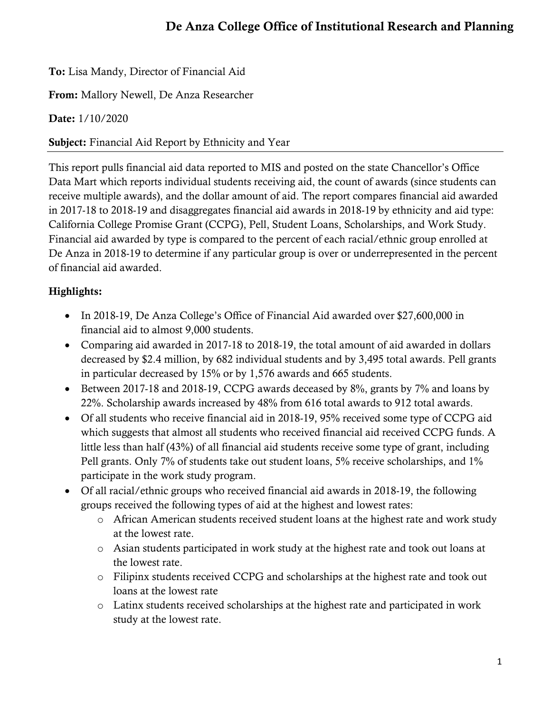To: Lisa Mandy, Director of Financial Aid

From: Mallory Newell, De Anza Researcher

Date: 1/10/2020

Subject: Financial Aid Report by Ethnicity and Year

This report pulls financial aid data reported to MIS and posted on the state Chancellor's Office Data Mart which reports individual students receiving aid, the count of awards (since students can receive multiple awards), and the dollar amount of aid. The report compares financial aid awarded in 2017-18 to 2018-19 and disaggregates financial aid awards in 2018-19 by ethnicity and aid type: California College Promise Grant (CCPG), Pell, Student Loans, Scholarships, and Work Study. Financial aid awarded by type is compared to the percent of each racial/ethnic group enrolled at De Anza in 2018-19 to determine if any particular group is over or underrepresented in the percent of financial aid awarded.

# Highlights:

- In 2018-19, De Anza College's Office of Financial Aid awarded over \$27,600,000 in financial aid to almost 9,000 students.
- Comparing aid awarded in 2017-18 to 2018-19, the total amount of aid awarded in dollars decreased by \$2.4 million, by 682 individual students and by 3,495 total awards. Pell grants in particular decreased by 15% or by 1,576 awards and 665 students.
- Between 2017-18 and 2018-19, CCPG awards deceased by 8%, grants by 7% and loans by 22%. Scholarship awards increased by 48% from 616 total awards to 912 total awards.
- Of all students who receive financial aid in 2018-19, 95% received some type of CCPG aid which suggests that almost all students who received financial aid received CCPG funds. A little less than half (43%) of all financial aid students receive some type of grant, including Pell grants. Only 7% of students take out student loans, 5% receive scholarships, and 1% participate in the work study program.
- Of all racial/ethnic groups who received financial aid awards in 2018-19, the following groups received the following types of aid at the highest and lowest rates:
	- o African American students received student loans at the highest rate and work study at the lowest rate.
	- o Asian students participated in work study at the highest rate and took out loans at the lowest rate.
	- o Filipinx students received CCPG and scholarships at the highest rate and took out loans at the lowest rate
	- o Latinx students received scholarships at the highest rate and participated in work study at the lowest rate.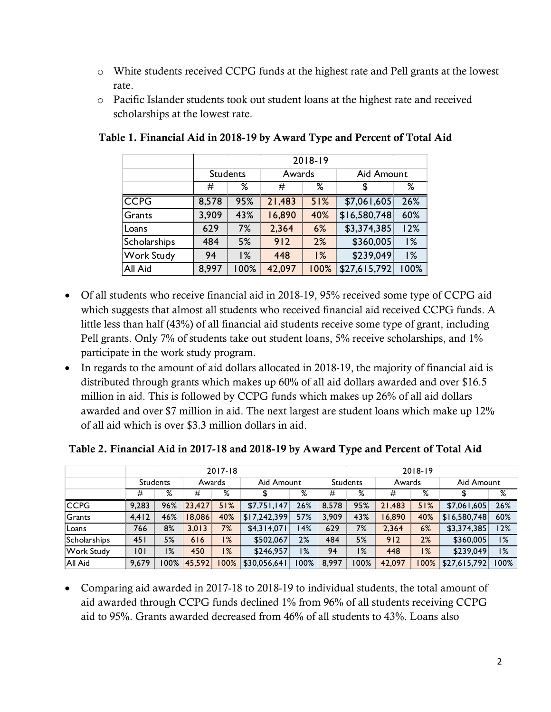- o White students received CCPG funds at the highest rate and Pell grants at the lowest rate.
- o Pacific Islander students took out student loans at the highest rate and received scholarships at the lowest rate.

|                   | 2018-19 |                 |        |      |              |      |  |  |  |
|-------------------|---------|-----------------|--------|------|--------------|------|--|--|--|
|                   |         | <b>Students</b> | Awards |      | Aid Amount   |      |  |  |  |
|                   | #       | ℅               | #      | ℅    | \$           | ℅    |  |  |  |
| <b>CCPG</b>       | 8,578   | 95%             | 21,483 | 51%  | \$7,061,605  | 26%  |  |  |  |
| Grants            | 3,909   | 43%             | 16,890 | 40%  | \$16,580,748 | 60%  |  |  |  |
| Loans             | 629     | 7%              | 2,364  | 6%   | \$3,374,385  | 12%  |  |  |  |
| Scholarships      | 484     | 5%              | 912    | 2%   | \$360,005    | 1%   |  |  |  |
| <b>Work Study</b> | 94      | 1%              | 448    | 1%   | \$239,049    | 1%   |  |  |  |
| All Aid           | 8,997   | 100%            | 42,097 | 100% | \$27,615,792 | 100% |  |  |  |

### Table 1. Financial Aid in 2018-19 by Award Type and Percent of Total Aid

- Of all students who receive financial aid in 2018-19, 95% received some type of CCPG aid which suggests that almost all students who received financial aid received CCPG funds. A little less than half (43%) of all financial aid students receive some type of grant, including Pell grants. Only 7% of students take out student loans, 5% receive scholarships, and 1% participate in the work study program.
- In regards to the amount of aid dollars allocated in 2018-19, the majority of financial aid is distributed through grants which makes up 60% of all aid dollars awarded and over \$16.5 million in aid. This is followed by CCPG funds which makes up 26% of all aid dollars awarded and over \$7 million in aid. The next largest are student loans which make up 12% of all aid which is over \$3.3 million dollars in aid.

|                   | $2017 - 18$     |     |        |         |              | 2018-19  |       |        |        |       |              |      |
|-------------------|-----------------|-----|--------|---------|--------------|----------|-------|--------|--------|-------|--------------|------|
|                   | <b>Students</b> |     | Awards |         | Aid Amount   | Students |       | Awards |        |       | Aid Amount   |      |
|                   | #               | %   | #      | %       |              | %        | #     | ℅      | #      | %     |              | %    |
| CCPG              | 9,283           | 96% | 23,427 | 51%     | \$7,751,147  | 26%      | 8,578 | 95%    | 21.483 | 51%   | \$7,061,605  | 26%  |
| Grants            | 4.412           | 46% | 18,086 | 40%     | \$17,242,399 | 57%      | 3,909 | 43%    | 6,890  | 40%   | \$16,580,748 | 60%  |
| Loans             | 766             | 8%  | 3,013  | 7%      | \$4,314,071  | 14%      | 629   | 7%     | 2,364  | 6%    | \$3,374,385  | 12%  |
| Scholarships      | 451             | 5%  | 616    | 1%      | \$502,067    | 2%       | 484   | 5%     | 912    | 2%    | \$360,005    | 1%   |
| <b>Work Study</b> | 101             | 1%  | 450    | 1%      | \$246,957    | 1%       | 94    | 1%     | 448    | $1\%$ | \$239,049    | 1%   |
| All Aid           | 9.679           | 00% | 45,592 | $100\%$ | \$30,056,641 | 00%      | 8.997 | 100%   | 42.097 | 00%   | \$27,615,792 | 100% |

#### Table 2. Financial Aid in 2017-18 and 2018-19 by Award Type and Percent of Total Aid

• Comparing aid awarded in 2017-18 to 2018-19 to individual students, the total amount of aid awarded through CCPG funds declined 1% from 96% of all students receiving CCPG aid to 95%. Grants awarded decreased from 46% of all students to 43%. Loans also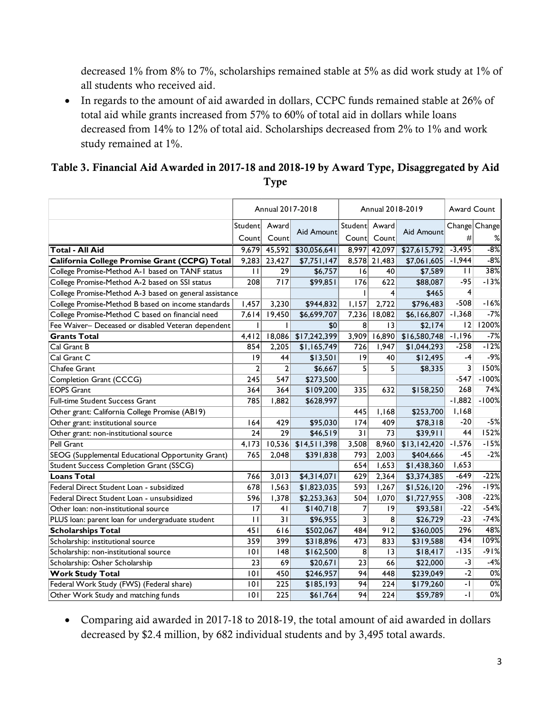decreased 1% from 8% to 7%, scholarships remained stable at 5% as did work study at 1% of all students who received aid.

• In regards to the amount of aid awarded in dollars, CCPC funds remained stable at 26% of total aid while grants increased from 57% to 60% of total aid in dollars while loans decreased from 14% to 12% of total aid. Scholarships decreased from 2% to 1% and work study remained at 1%.

## Table 3. Financial Aid Awarded in 2017-18 and 2018-19 by Award Type, Disaggregated by Aid Type

|                                                        | Annual 2017-2018 |                |              |                         | Annual 2018-2019          | Award Count  |              |               |
|--------------------------------------------------------|------------------|----------------|--------------|-------------------------|---------------------------|--------------|--------------|---------------|
|                                                        | Studentl         | Award          |              | Student Award           |                           |              |              | Change Change |
|                                                        | Countl           | Count          | Aid Amount   | Count                   | Count                     | Aid Amount   | #            | ℅             |
| <b>Total - All Aid</b>                                 | 9,679            | 45,592         | \$30,056,641 |                         | $\overline{8,997}$ 42,097 | \$27,615,792 | $-3,495$     | $-8%$         |
| California College Promise Grant (CCPG) Total          | 9,283            | 23,427         | \$7,751,147  |                         | 8,578 21,483              | \$7,061,605  | $-1,944$     | $-8%$         |
| College Promise-Method A-1 based on TANF status        | $\mathbf{H}$     | 29             | \$6,757      | 16                      | 40                        | \$7,589      | $\mathbf{H}$ | 38%           |
| College Promise-Method A-2 based on SSI status         | 208              | 717            | \$99,851     | 176                     | 622                       | \$88,087     | $-95$        | $-13%$        |
| College Promise-Method A-3 based on general assistance |                  |                |              |                         | 4                         | \$465        | 4            |               |
| College Promise-Method B based on income standards     | 1,457            | 3,230          | \$944,832    | 1,157                   | 2,722                     | \$796,483    | $-508$       | $-16%$        |
| College Promise-Method C based on financial need       | 7,614            | 19,450         | \$6,699,707  | 7,236                   | 18,082                    | \$6,166,807  | $-1,368$     | $-7%$         |
| Fee Waiver- Deceased or disabled Veteran dependent     |                  |                | \$0          | 8                       | 13                        | \$2,174      | 12           | 1200%         |
| <b>Grants Total</b>                                    | 4,412            | 18,086         | \$17,242,399 | 3,909                   | 16,890                    | \$16,580,748 | $-1,196$     | $-7%$         |
| Cal Grant B                                            | 854              | 2,205          | \$1,165,749  | 726                     | 1,947                     | \$1,044,293  | $-258$       | $-12%$        |
| Cal Grant C                                            | 9                | 44             | \$13,501     | 9                       | 40                        | \$12,495     | -4           | $-9%$         |
| Chafee Grant                                           | $\overline{2}$   | $\overline{2}$ | \$6,667      | 5                       | 5                         | \$8,335      | 3            | 150%          |
| Completion Grant (CCCG)                                | 245              | 547            | \$273,500    |                         |                           |              | $-547$       | $-100%$       |
| <b>EOPS Grant</b>                                      | 364              | 364            | \$109,200    | 335                     | 632                       | \$158,250    | 268          | 74%           |
| Full-time Student Success Grant                        | 785              | 1,882          | \$628,997    |                         |                           |              | $-1,882$     | $-100%$       |
| Other grant: California College Promise (AB19)         |                  |                |              | 445                     | 1,168                     | \$253,700    | 1,168        |               |
| Other grant: institutional source                      | 164              | 429            | \$95,030     | 174                     | 409                       | \$78,318     | $-20$        | $-5%$         |
| Other grant: non-institutional source                  | 24               | 29             | \$46,519     | 31                      | 73                        | \$39,911     | 44           | 152%          |
| Pell Grant                                             | 4,173            | 10,536         | \$14,511,398 | 3,508                   | 8,960                     | \$13,142,420 | $-1,576$     | $-15%$        |
| SEOG (Supplemental Educational Opportunity Grant)      | 765              | 2,048          | \$391,838    | 793                     | 2,003                     | \$404,666    | $-45$        | $-2%$         |
| <b>Student Success Completion Grant (SSCG)</b>         |                  |                |              | 654                     | 1,653                     | \$1,438,360  | 1,653        |               |
| <b>Loans Total</b>                                     | 766              | 3,013          | \$4,314,071  | 629                     | 2,364                     | \$3,374,385  | $-649$       | $-22%$        |
| Federal Direct Student Loan - subsidized               | 678              | 1,563          | \$1,823,035  | 593                     | 1,267                     | \$1,526,120  | $-296$       | $-19%$        |
| Federal Direct Student Loan - unsubsidized             | 596              | 1,378          | \$2,253,363  | 504                     | 1,070                     | \$1,727,955  | $-308$       | $-22%$        |
| Other loan: non-institutional source                   | 17               | 4 <sub>1</sub> | \$140,718    | $\overline{7}$          | 9                         | \$93,581     | $-22$        | $-54%$        |
| PLUS loan: parent loan for undergraduate student       | $\mathbf{H}$     | 31             | \$96,955     | $\overline{\mathbf{3}}$ | 8                         | \$26,729     | $-23$        | $-74%$        |
| <b>Scholarships Total</b>                              | 451              | 616            | \$502,067    | 484                     | 912                       | \$360,005    | 296          | 48%           |
| Scholarship: institutional source                      | 359              | 399            | \$318,896    | 473                     | 833                       | \$319,588    | 434          | 109%          |
| Scholarship: non-institutional source                  | 101              | 148            | \$162,500    | 8                       | 13                        | \$18,417     | $-135$       | $-91%$        |
| Scholarship: Osher Scholarship                         | 23               | 69             | \$20,671     | 23                      | 66                        | \$22,000     | $-3$         | $-4%$         |
| <b>Work Study Total</b>                                | 101              | 450            | \$246,957    | 94                      | 448                       | \$239,049    | $-2$         | 0%            |
| Federal Work Study (FWS) (Federal share)               | 101              | 225            | \$185,193    | 94                      | 224                       | \$179,260    | $-1$         | $0\%$         |
| Other Work Study and matching funds                    | 101              | 225            | \$61,764     | 94                      | 224                       | \$59,789     | -1           | 0%            |

• Comparing aid awarded in 2017-18 to 2018-19, the total amount of aid awarded in dollars decreased by \$2.4 million, by 682 individual students and by 3,495 total awards.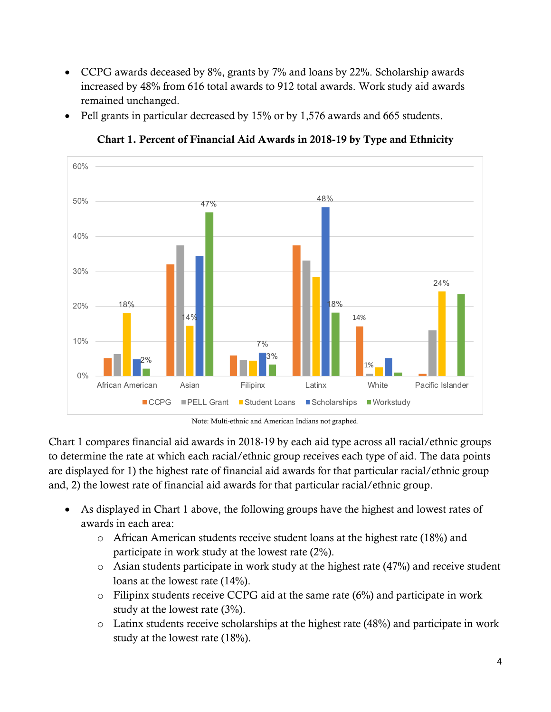- CCPG awards deceased by 8%, grants by 7% and loans by 22%. Scholarship awards increased by 48% from 616 total awards to 912 total awards. Work study aid awards remained unchanged.
- Pell grants in particular decreased by 15% or by 1,576 awards and 665 students.



Chart 1. Percent of Financial Aid Awards in 2018-19 by Type and Ethnicity

Note: Multi-ethnic and American Indians not graphed.

Chart 1 compares financial aid awards in 2018-19 by each aid type across all racial/ethnic groups to determine the rate at which each racial/ethnic group receives each type of aid. The data points are displayed for 1) the highest rate of financial aid awards for that particular racial/ethnic group and, 2) the lowest rate of financial aid awards for that particular racial/ethnic group.

- As displayed in Chart 1 above, the following groups have the highest and lowest rates of awards in each area:
	- o African American students receive student loans at the highest rate (18%) and participate in work study at the lowest rate (2%).
	- o Asian students participate in work study at the highest rate (47%) and receive student loans at the lowest rate  $(14%)$ .
	- o Filipinx students receive CCPG aid at the same rate (6%) and participate in work study at the lowest rate (3%).
	- o Latinx students receive scholarships at the highest rate (48%) and participate in work study at the lowest rate (18%).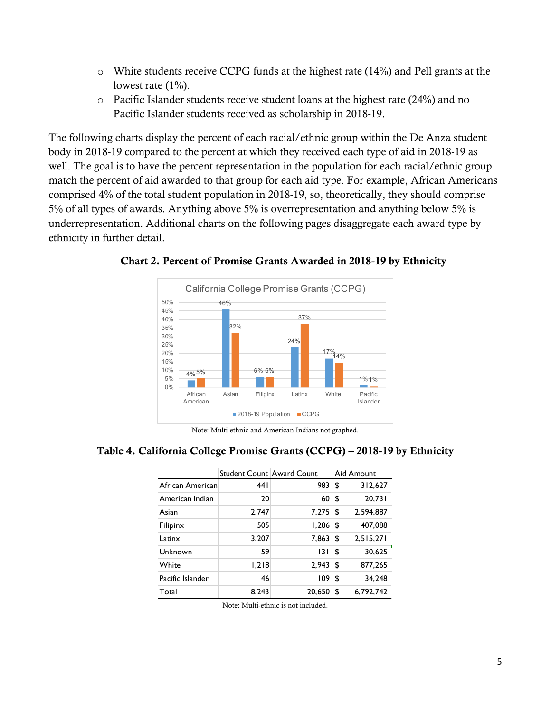- o White students receive CCPG funds at the highest rate (14%) and Pell grants at the lowest rate  $(1\%)$ .
- o Pacific Islander students receive student loans at the highest rate (24%) and no Pacific Islander students received as scholarship in 2018-19.

The following charts display the percent of each racial/ethnic group within the De Anza student body in 2018-19 compared to the percent at which they received each type of aid in 2018-19 as well. The goal is to have the percent representation in the population for each racial/ethnic group match the percent of aid awarded to that group for each aid type. For example, African Americans comprised 4% of the total student population in 2018-19, so, theoretically, they should comprise 5% of all types of awards. Anything above 5% is overrepresentation and anything below 5% is underrepresentation. Additional charts on the following pages disaggregate each award type by ethnicity in further detail.



Chart 2. Percent of Promise Grants Awarded in 2018-19 by Ethnicity

Note: Multi-ethnic and American Indians not graphed.

#### Table 4. California College Promise Grants (CCPG) – 2018-19 by Ethnicity

|                  |       | Student Count Award Count |    | Aid Amount |
|------------------|-------|---------------------------|----|------------|
| African American | 44 I  | 983S                      |    | 312,627    |
| American Indian  | 20    | 60 <sup>°</sup>           | \$ | 20,731     |
| Asian            | 2,747 | 7,275                     | \$ | 2.594.887  |
| Filipinx         | 505   | 1,286                     | \$ | 407,088    |
| Latinx           | 3,207 | 7,863                     | \$ | 2,515,271  |
| Unknown          | 59    | 131                       | \$ | 30.625     |
| White            | 1,218 | 2,943                     | \$ | 877,265    |
| Pacific Islander | 46    | 109                       | \$ | 34.248     |
| Total            | 8,243 | 20,650                    | \$ | 6,792,742  |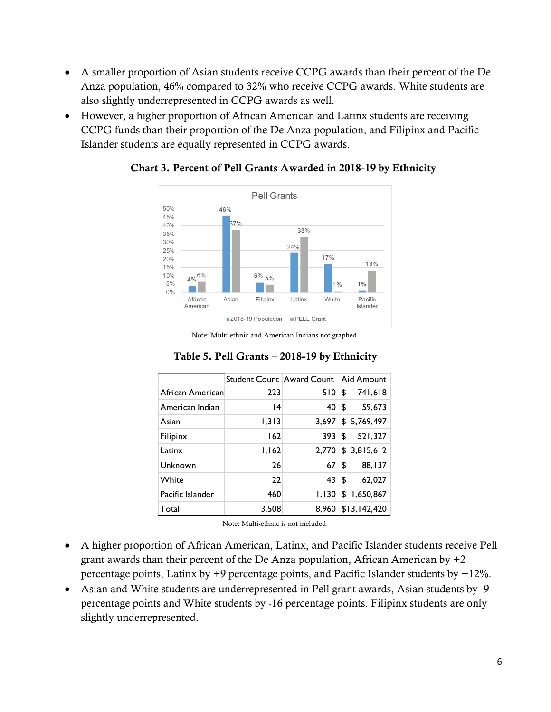- A smaller proportion of Asian students receive CCPG awards than their percent of the De Anza population, 46% compared to 32% who receive CCPG awards. White students are also slightly underrepresented in CCPG awards as well.
- However, a higher proportion of African American and Latinx students are receiving CCPG funds than their proportion of the De Anza population, and Filipinx and Pacific Islander students are equally represented in CCPG awards.



#### Chart 3. Percent of Pell Grants Awarded in 2018-19 by Ethnicity

Note: Multi-ethnic and American Indians not graphed.

|                  | Student Count Award Count   Aid Amount |                 |                |
|------------------|----------------------------------------|-----------------|----------------|
| African American | 223                                    | 510             | 741,618<br>\$  |
| American Indian  | 4                                      | 40              | 59,673<br>\$   |
| Asian            | 1,313                                  | 3,697           | \$5,769,497    |
| Filipinx         | 162                                    | 393             | 521,327<br>\$  |
| Latinx           | 1,162                                  | 2.770           | \$3,815,612    |
| Unknown          | 26                                     | 67              | 88,137<br>\$   |
| White            | 22                                     | 43 <sup>1</sup> | 62,027<br>\$   |
| Pacific Islander | 460                                    | 1,130           | \$1,650,867    |
| Total            | 3,508                                  | 8.960           | \$13, 142, 420 |

## Table 5. Pell Grants – 2018-19 by Ethnicity

- A higher proportion of African American, Latinx, and Pacific Islander students receive Pell grant awards than their percent of the De Anza population, African American by +2 percentage points, Latinx by +9 percentage points, and Pacific Islander students by +12%.
- Asian and White students are underrepresented in Pell grant awards, Asian students by -9 percentage points and White students by -16 percentage points. Filipinx students are only slightly underrepresented.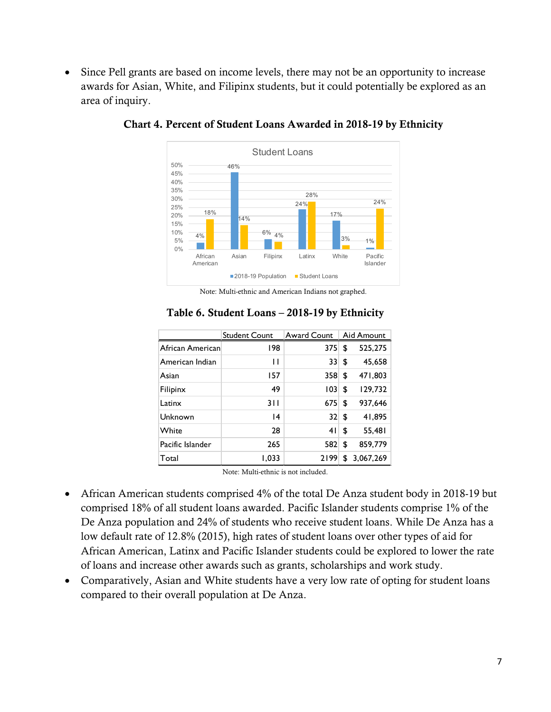• Since Pell grants are based on income levels, there may not be an opportunity to increase awards for Asian, White, and Filipinx students, but it could potentially be explored as an area of inquiry.



Chart 4. Percent of Student Loans Awarded in 2018-19 by Ethnicity

Note: Multi-ethnic and American Indians not graphed.

|                  | <b>Student Count</b> | Award Count | Aid Amount      |
|------------------|----------------------|-------------|-----------------|
| African American | 198                  | 375         | \$<br>525,275   |
| American Indian  | П                    | 33          | \$<br>45,658    |
| Asian            | 157                  | 358         | \$<br>471,803   |
| Filipinx         | 49                   | 103         | \$<br>129,732   |
| Latinx           | 311                  | 675         | \$<br>937,646   |
| Unknown          | $\overline{14}$      | 32          | \$<br>41,895    |
| White            | 28                   | 41          | \$<br>55,481    |
| Pacific Islander | 265                  | 582         | \$<br>859,779   |
| Total            | 1,033                | 2199        | \$<br>3,067,269 |

#### Table 6. Student Loans – 2018-19 by Ethnicity

- African American students comprised 4% of the total De Anza student body in 2018-19 but comprised 18% of all student loans awarded. Pacific Islander students comprise 1% of the De Anza population and 24% of students who receive student loans. While De Anza has a low default rate of 12.8% (2015), high rates of student loans over other types of aid for African American, Latinx and Pacific Islander students could be explored to lower the rate of loans and increase other awards such as grants, scholarships and work study.
- Comparatively, Asian and White students have a very low rate of opting for student loans compared to their overall population at De Anza.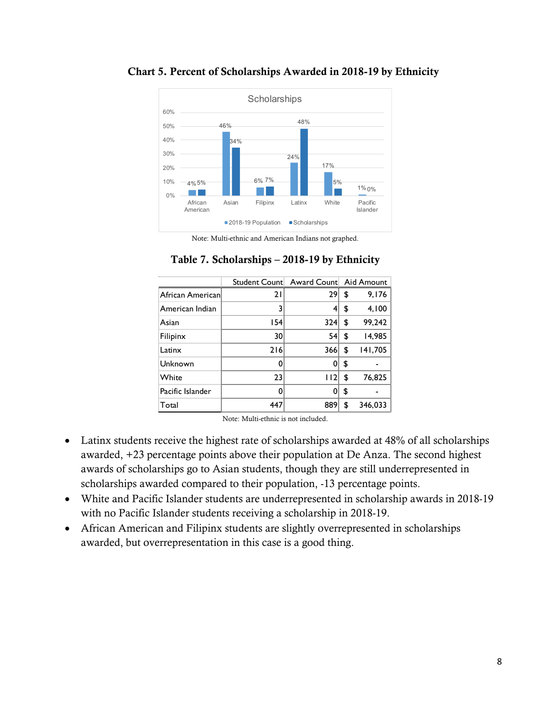

#### Chart 5. Percent of Scholarships Awarded in 2018-19 by Ethnicity

Note: Multi-ethnic and American Indians not graphed.

|                  | Student Count | Award Count Aid Amount |               |
|------------------|---------------|------------------------|---------------|
| African American | 21            | 29                     | \$<br>9,176   |
| American Indian  | 3             | 4                      | \$<br>4,100   |
| Asian            | 54            | 324                    | \$<br>99,242  |
| Filipinx         | 30            | 54                     | \$<br>14,985  |
| Latinx           | 216           | 366                    | \$<br>141,705 |
| Unknown          | 0             | 0                      | \$            |
| White            | 23            | 112                    | \$<br>76,825  |
| Pacific Islander | ŋ             | 0                      | \$            |
| Total            | 447           | 889                    | \$<br>346,033 |

## Table 7. Scholarships – 2018-19 by Ethnicity

- Latinx students receive the highest rate of scholarships awarded at 48% of all scholarships awarded, +23 percentage points above their population at De Anza. The second highest awards of scholarships go to Asian students, though they are still underrepresented in scholarships awarded compared to their population, -13 percentage points.
- White and Pacific Islander students are underrepresented in scholarship awards in 2018-19 with no Pacific Islander students receiving a scholarship in 2018-19.
- African American and Filipinx students are slightly overrepresented in scholarships awarded, but overrepresentation in this case is a good thing.